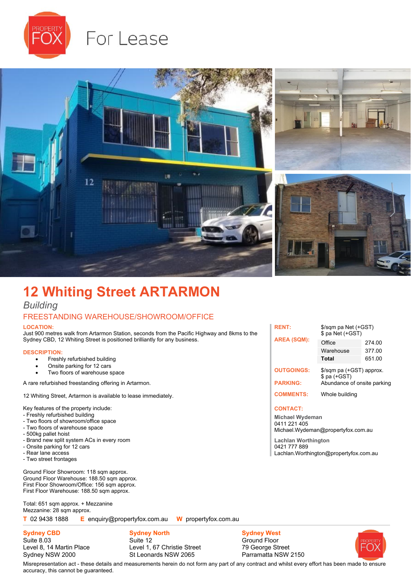

# For Lease



## **12 Whiting Street ARTARMON**

## *Building*

## FREESTANDING WAREHOUSE/SHOWROOM/OFFICE

#### **LOCATION:**

Just 900 metres walk from Artarmon Station, seconds from the Pacific Highway and 8kms to the Sydney CBD, 12 Whiting Street is positioned brilliantly for any business.

#### **DESCRIPTION:**

- Freshly refurbished building
- Onsite parking for 12 cars
- Two floors of warehouse space

A rare refurbished freestanding offering in Artarmon.

12 Whiting Street, Artarmon is available to lease immediately.

Key features of the property include:

- Freshly refurbished building
- Two floors of showroom/office space
- Two floors of warehouse space
- 500kg pallet hoist
- Brand new split system ACs in every room
- Onsite parking for 12 cars
- Rear lane access
- Two street frontages

Ground Floor Showroom: 118 sqm approx. Ground Floor Warehouse: 188.50 sqm approx. First Floor Showroom/Office: 156 sqm approx. First Floor Warehouse: 188.50 sqm approx.

Total: 651 sqm approx. + Mezzanine Mezzanine: 28 sqm approx.

**T** 02 9438 1888 **E** enquiry@propertyfox.com.au **W** propertyfox.com.au

**Sydney CBD** Suite 8.03 Level 8, 14 Martin Place Sydney NSW 2000

**Sydney North** Suite 12 Level 1, 67 Christie Street St Leonards NSW 2065

**Sydney West** Ground Floor 79 George Street Parramatta NSW 2150



#### **CONTACT:**

**Michael Wydeman** 0411 221 405 Michael.Wydeman@propertyfox.com.au

**RENT:** \$/sqm pa Net (+GST)

**Lachlan Worthington** 0421 777 889 Lachlan.Worthington@propertyfox.com.au



Misrepresentation act - these details and measurements herein do not form any part of any contract and whilst every effort has been made to ensure accuracy, this cannot be guaranteed.